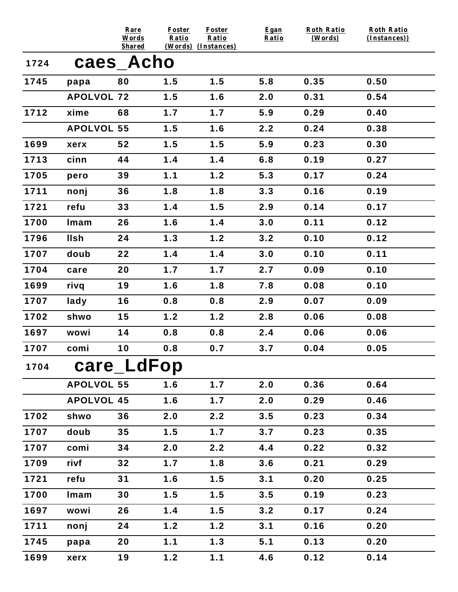|      |                   | Rare<br>Words              | <b>Foster</b><br>Ratio | <b>Foster</b><br>Ratio | Egan<br>Ratio | <b>Roth Ratio</b><br>(Words) | <b>Roth Ratio</b><br>(Instances)) |
|------|-------------------|----------------------------|------------------------|------------------------|---------------|------------------------------|-----------------------------------|
| 1724 |                   | <b>Shared</b><br>caes_Acho |                        | (Words) (Instances)    |               |                              |                                   |
| 1745 | papa              | 80                         | 1.5                    | 1.5                    | 5.8           | 0.35                         | 0.50                              |
|      | <b>APOLVOL 72</b> |                            | 1.5                    | 1.6                    | 2.0           | 0.31                         | 0.54                              |
| 1712 | xime              | 68                         | 1.7                    | 1.7                    | 5.9           | 0.29                         | 0.40                              |
|      | <b>APOLVOL 55</b> |                            | 1.5                    | 1.6                    | 2.2           | 0.24                         | 0.38                              |
| 1699 | xerx              | 52                         | 1.5                    | 1.5                    | 5.9           | 0.23                         | 0.30                              |
| 1713 | cinn              | 44                         | 1.4                    | 1.4                    | 6.8           | 0.19                         | 0.27                              |
| 1705 | pero              | 39                         | 1.1                    | 1.2                    | 5.3           | 0.17                         | 0.24                              |
| 1711 | nonj              | 36                         | 1.8                    | 1.8                    | 3.3           | 0.16                         | 0.19                              |
| 1721 | refu              | 33                         | 1.4                    | 1.5                    | 2.9           | 0.14                         | 0.17                              |
| 1700 | Imam              | 26                         | 1.6                    | 1.4                    | 3.0           | 0.11                         | 0.12                              |
| 1796 | <b>Ilsh</b>       | 24                         | 1.3                    | 1.2                    | 3.2           | 0.10                         | 0.12                              |
| 1707 | doub              | 22                         | 1.4                    | 1.4                    | 3.0           | 0.10                         | 0.11                              |
| 1704 | care              | 20                         | 1.7                    | 1.7                    | 2.7           | 0.09                         | 0.10                              |
| 1699 | rivq              | 19                         | 1.6                    | 1.8                    | 7.8           | 0.08                         | 0.10                              |
| 1707 | lady              | 16                         | 0.8                    | 0.8                    | 2.9           | 0.07                         | 0.09                              |
| 1702 | shwo              | 15                         | 1.2                    | 1.2                    | 2.8           | 0.06                         | 0.08                              |
| 1697 | wowi              | 14                         | 0.8                    | 0.8                    | 2.4           | 0.06                         | 0.06                              |
| 1707 | comi              | 10                         | 0.8                    | 0.7                    | 3.7           | 0.04                         | 0.05                              |
| 1704 |                   | care_LdFop                 |                        |                        |               |                              |                                   |
|      | <b>APOLVOL 55</b> |                            | 1.6                    | 1.7                    | 2.0           | 0.36                         | 0.64                              |
|      | <b>APOLVOL 45</b> |                            | 1.6                    | 1.7                    | 2.0           | 0.29                         | 0.46                              |
| 1702 | shwo              | 36                         | 2.0                    | 2.2                    | 3.5           | 0.23                         | 0.34                              |
| 1707 | doub              | 35                         | 1.5                    | 1.7                    | 3.7           | 0.23                         | 0.35                              |
| 1707 | comi              | 34                         | 2.0                    | 2.2                    | 4.4           | 0.22                         | 0.32                              |
| 1709 | rivf              | 32                         | 1.7                    | 1.8                    | 3.6           | 0.21                         | 0.29                              |
| 1721 | refu              | 31                         | 1.6                    | 1.5                    | 3.1           | 0.20                         | 0.25                              |
| 1700 | Imam              | 30                         | 1.5                    | 1.5                    | 3.5           | 0.19                         | 0.23                              |
| 1697 | wowi              | 26                         | 1.4                    | 1.5                    | 3.2           | 0.17                         | 0.24                              |
| 1711 | nonj              | 24                         | 1.2                    | 1.2                    | 3.1           | 0.16                         | 0.20                              |
| 1745 | papa              | 20                         | 1.1                    | 1.3                    | 5.1           | 0.13                         | 0.20                              |
| 1699 | xerx              | 19                         | $1.2$                  | 1.1                    | 4.6           | 0.12                         | 0.14                              |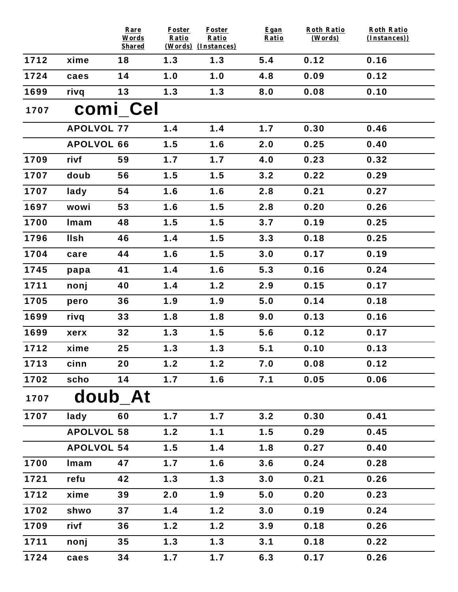|      |                   | Rare<br>Words<br><b>Shared</b> | <b>Foster</b><br>Ratio | <b>Foster</b><br>Ratio<br>(Words) (Instances) | Egan<br>Ratio | <b>Roth Ratio</b><br>(Words) | <b>Roth Ratio</b><br>(Instances)) |
|------|-------------------|--------------------------------|------------------------|-----------------------------------------------|---------------|------------------------------|-----------------------------------|
| 1712 | xime              | 18                             | 1.3                    | 1.3                                           | 5.4           | 0.12                         | 0.16                              |
| 1724 | caes              | 14                             | 1.0                    | 1.0                                           | 4.8           | 0.09                         | 0.12                              |
| 1699 | rivq              | 13                             | 1.3                    | 1.3                                           | 8.0           | 0.08                         | 0.10                              |
| 1707 |                   | comi Cel                       |                        |                                               |               |                              |                                   |
|      | <b>APOLVOL 77</b> |                                | 1.4                    | 1.4                                           | 1.7           | 0.30                         | 0.46                              |
|      | <b>APOLVOL 66</b> |                                | 1.5                    | 1.6                                           | 2.0           | 0.25                         | 0.40                              |
| 1709 | rivf              | 59                             | 1.7                    | 1.7                                           | 4.0           | 0.23                         | 0.32                              |
| 1707 | doub              | 56                             | 1.5                    | 1.5                                           | 3.2           | 0.22                         | 0.29                              |
| 1707 | lady              | 54                             | 1.6                    | 1.6                                           | 2.8           | 0.21                         | 0.27                              |
| 1697 | wowi              | 53                             | 1.6                    | 1.5                                           | 2.8           | 0.20                         | 0.26                              |
| 1700 | Imam              | 48                             | 1.5                    | 1.5                                           | 3.7           | 0.19                         | 0.25                              |
| 1796 | <b>Ilsh</b>       | 46                             | 1.4                    | 1.5                                           | 3.3           | 0.18                         | 0.25                              |
| 1704 | care              | 44                             | 1.6                    | 1.5                                           | 3.0           | 0.17                         | 0.19                              |
| 1745 | papa              | 41                             | 1.4                    | 1.6                                           | 5.3           | 0.16                         | 0.24                              |
| 1711 | nonj              | 40                             | 1.4                    | 1.2                                           | 2.9           | 0.15                         | 0.17                              |
| 1705 | pero              | 36                             | 1.9                    | 1.9                                           | 5.0           | 0.14                         | 0.18                              |
| 1699 | rivq              | 33                             | 1.8                    | 1.8                                           | 9.0           | 0.13                         | 0.16                              |
| 1699 | xerx              | 32                             | 1.3                    | 1.5                                           | 5.6           | 0.12                         | 0.17                              |
| 1712 | xime              | 25                             | 1.3                    | 1.3                                           | 5.1           | 0.10                         | 0.13                              |
| 1713 | cinn              | 20                             | 1.2                    | 1.2                                           | 7.0           | 0.08                         | 0.12                              |
| 1702 | scho              | 14                             | 1.7                    | 1.6                                           | 7.1           | 0.05                         | 0.06                              |
| 1707 | doub At           |                                |                        |                                               |               |                              |                                   |
| 1707 | lady              | 60                             | 1.7                    | 1.7                                           | 3.2           | 0.30                         | 0.41                              |
|      | <b>APOLVOL 58</b> |                                | 1.2                    | 1.1                                           | 1.5           | 0.29                         | 0.45                              |
|      | <b>APOLVOL 54</b> |                                | 1.5                    | 1.4                                           | 1.8           | 0.27                         | 0.40                              |
| 1700 | Imam              | 47                             | 1.7                    | 1.6                                           | 3.6           | 0.24                         | 0.28                              |
| 1721 | refu              | 42                             | 1.3                    | 1.3                                           | 3.0           | 0.21                         | 0.26                              |
| 1712 | xime              | 39                             | 2.0                    | 1.9                                           | 5.0           | 0.20                         | 0.23                              |
| 1702 | shwo              | 37                             | 1.4                    | 1.2                                           | 3.0           | 0.19                         | 0.24                              |
| 1709 | rivf              | 36                             | 1.2                    | 1.2                                           | 3.9           | 0.18                         | 0.26                              |
| 1711 | nonj              | 35                             | 1.3                    | 1.3                                           | 3.1           | 0.18                         | 0.22                              |
| 1724 | caes              | 34                             | 1.7                    | 1.7                                           | 6.3           | 0.17                         | 0.26                              |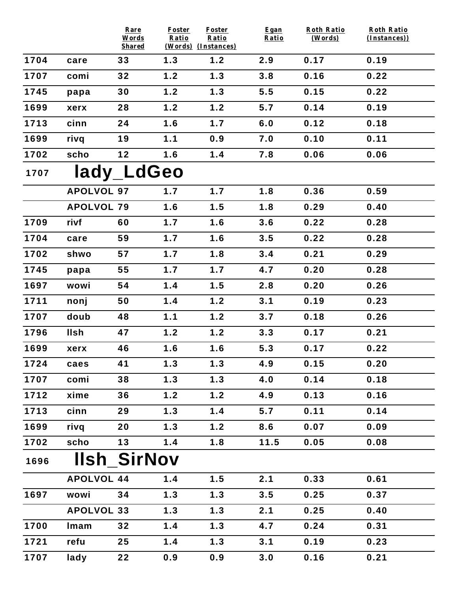|      |                   | Rare<br>Words<br><b>Shared</b> | <b>Foster</b><br>Ratio | <b>Foster</b><br>Ratio<br>(Words) (Instances) | Egan<br>Ratio | <b>Roth Ratio</b><br>(Words) | <b>Roth Ratio</b><br>(Instances)) |
|------|-------------------|--------------------------------|------------------------|-----------------------------------------------|---------------|------------------------------|-----------------------------------|
| 1704 | care              | 33                             | 1.3                    | 1.2                                           | 2.9           | 0.17                         | 0.19                              |
| 1707 | comi              | 32                             | 1.2                    | 1.3                                           | 3.8           | 0.16                         | 0.22                              |
| 1745 | papa              | 30                             | 1.2                    | 1.3                                           | 5.5           | 0.15                         | 0.22                              |
| 1699 | xerx              | 28                             | 1.2                    | 1.2                                           | 5.7           | 0.14                         | 0.19                              |
| 1713 | cinn              | 24                             | 1.6                    | 1.7                                           | 6.0           | 0.12                         | 0.18                              |
| 1699 | rivq              | 19                             | 1.1                    | 0.9                                           | 7.0           | 0.10                         | 0.11                              |
| 1702 | scho              | 12                             | 1.6                    | 1.4                                           | 7.8           | 0.06                         | 0.06                              |
| 1707 |                   | lady_LdGeo                     |                        |                                               |               |                              |                                   |
|      | <b>APOLVOL 97</b> |                                | 1.7                    | 1.7                                           | 1.8           | 0.36                         | 0.59                              |
|      | <b>APOLVOL 79</b> |                                | 1.6                    | 1.5                                           | 1.8           | 0.29                         | 0.40                              |
| 1709 | rivf              | 60                             | 1.7                    | 1.6                                           | 3.6           | 0.22                         | 0.28                              |
| 1704 | care              | 59                             | 1.7                    | 1.6                                           | 3.5           | 0.22                         | 0.28                              |
| 1702 | shwo              | 57                             | 1.7                    | 1.8                                           | 3.4           | 0.21                         | 0.29                              |
| 1745 | papa              | 55                             | 1.7                    | 1.7                                           | 4.7           | 0.20                         | 0.28                              |
| 1697 | wowi              | 54                             | 1.4                    | 1.5                                           | 2.8           | 0.20                         | 0.26                              |
| 1711 | nonj              | 50                             | 1.4                    | 1.2                                           | 3.1           | 0.19                         | 0.23                              |
| 1707 | doub              | 48                             | 1.1                    | 1.2                                           | 3.7           | 0.18                         | 0.26                              |
| 1796 | <b>Ilsh</b>       | 47                             | 1.2                    | 1.2                                           | 3.3           | 0.17                         | 0.21                              |
| 1699 | xerx              | 46                             | 1.6                    | 1.6                                           | 5.3           | 0.17                         | 0.22                              |
| 1724 | caes              | 41                             | 1.3                    | 1.3                                           | 4.9           | 0.15                         | 0.20                              |
| 1707 | comi              | 38                             | 1.3                    | 1.3                                           | 4.0           | 0.14                         | 0.18                              |
| 1712 | xime              | 36                             | 1.2                    | 1.2                                           | 4.9           | 0.13                         | 0.16                              |
| 1713 | cinn              | 29                             | 1.3                    | 1.4                                           | 5.7           | 0.11                         | 0.14                              |
| 1699 | rivq              | 20                             | 1.3                    | 1.2                                           | 8.6           | 0.07                         | 0.09                              |
| 1702 | scho              | 13                             | 1.4                    | 1.8                                           | 11.5          | 0.05                         | 0.08                              |
| 1696 |                   | <b>Ilsh SirNov</b>             |                        |                                               |               |                              |                                   |
|      | <b>APOLVOL 44</b> |                                | 1.4                    | 1.5                                           | 2.1           | 0.33                         | 0.61                              |
| 1697 | wowi              | 34                             | 1.3                    | 1.3                                           | 3.5           | 0.25                         | 0.37                              |
|      | <b>APOLVOL 33</b> |                                | 1.3                    | 1.3                                           | 2.1           | 0.25                         | 0.40                              |
| 1700 | Imam              | 32                             | 1.4                    | 1.3                                           | 4.7           | 0.24                         | 0.31                              |
| 1721 | refu              | 25                             | 1.4                    | 1.3                                           | 3.1           | 0.19                         | 0.23                              |
| 1707 | lady              | 22                             | 0.9                    | 0.9                                           | 3.0           | 0.16                         | 0.21                              |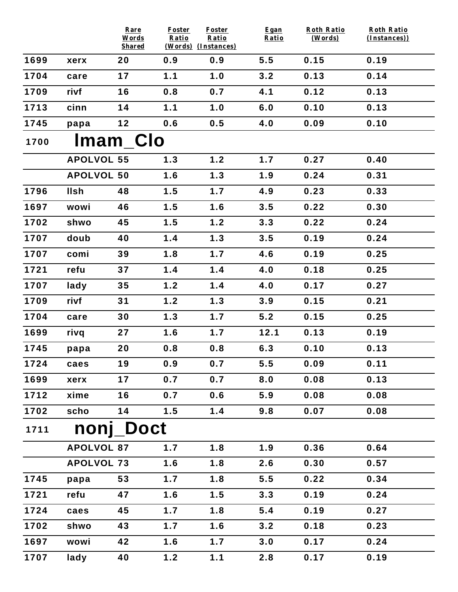|      |                   | Rare<br>Words<br><b>Shared</b> | <b>Foster</b><br>Ratio | <b>Foster</b><br>Ratio<br>(Words) (Instances) | Egan<br>Ratio | <b>Roth Ratio</b><br>(Words) | <b>Roth Ratio</b><br>(Instances)) |  |  |  |  |
|------|-------------------|--------------------------------|------------------------|-----------------------------------------------|---------------|------------------------------|-----------------------------------|--|--|--|--|
| 1699 | xerx              | 20                             | 0.9                    | 0.9                                           | 5.5           | 0.15                         | 0.19                              |  |  |  |  |
| 1704 | care              | 17                             | 1.1                    | 1.0                                           | 3.2           | 0.13                         | 0.14                              |  |  |  |  |
| 1709 | rivf              | 16                             | 0.8                    | 0.7                                           | 4.1           | 0.12                         | 0.13                              |  |  |  |  |
| 1713 | cinn              | 14                             | 1.1                    | 1.0                                           | 6.0           | 0.10                         | 0.13                              |  |  |  |  |
| 1745 | papa              | 12                             | 0.6                    | 0.5                                           | 4.0           | 0.09                         | 0.10                              |  |  |  |  |
| 1700 |                   | <b>Imam Clo</b>                |                        |                                               |               |                              |                                   |  |  |  |  |
|      | <b>APOLVOL 55</b> |                                | 1.3                    | 1.2                                           | 1.7           | 0.27                         | 0.40                              |  |  |  |  |
|      | <b>APOLVOL 50</b> |                                | 1.6                    | 1.3                                           | 1.9           | 0.24                         | 0.31                              |  |  |  |  |
| 1796 | <b>Ilsh</b>       | 48                             | 1.5                    | 1.7                                           | 4.9           | 0.23                         | 0.33                              |  |  |  |  |
| 1697 | wowi              | 46                             | 1.5                    | 1.6                                           | 3.5           | 0.22                         | 0.30                              |  |  |  |  |
| 1702 | shwo              | 45                             | 1.5                    | 1.2                                           | 3.3           | 0.22                         | 0.24                              |  |  |  |  |
| 1707 | doub              | 40                             | 1.4                    | 1.3                                           | 3.5           | 0.19                         | 0.24                              |  |  |  |  |
| 1707 | comi              | 39                             | 1.8                    | 1.7                                           | 4.6           | 0.19                         | 0.25                              |  |  |  |  |
| 1721 | refu              | 37                             | 1.4                    | 1.4                                           | 4.0           | 0.18                         | 0.25                              |  |  |  |  |
| 1707 | lady              | 35                             | 1.2                    | 1.4                                           | 4.0           | 0.17                         | 0.27                              |  |  |  |  |
| 1709 | rivf              | 31                             | 1.2                    | 1.3                                           | 3.9           | 0.15                         | 0.21                              |  |  |  |  |
| 1704 | care              | 30                             | 1.3                    | 1.7                                           | 5.2           | 0.15                         | 0.25                              |  |  |  |  |
| 1699 | rivq              | 27                             | 1.6                    | 1.7                                           | 12.1          | 0.13                         | 0.19                              |  |  |  |  |
| 1745 | papa              | 20                             | 0.8                    | 0.8                                           | 6.3           | 0.10                         | 0.13                              |  |  |  |  |
| 1724 | caes              | 19                             | 0.9                    | 0.7                                           | 5.5           | 0.09                         | 0.11                              |  |  |  |  |
| 1699 | xerx              | 17                             | 0.7                    | 0.7                                           | 8.0           | 0.08                         | 0.13                              |  |  |  |  |
| 1712 | xime              | 16                             | 0.7                    | 0.6                                           | 5.9           | 0.08                         | 0.08                              |  |  |  |  |
| 1702 | scho              | 14                             | 1.5                    | 1.4                                           | 9.8           | 0.07                         | 0.08                              |  |  |  |  |
| 1711 |                   | nonj_Doct                      |                        |                                               |               |                              |                                   |  |  |  |  |
|      | <b>APOLVOL 87</b> |                                | 1.7                    | 1.8                                           | 1.9           | 0.36                         | 0.64                              |  |  |  |  |
|      | <b>APOLVOL 73</b> |                                | 1.6                    | 1.8                                           | 2.6           | 0.30                         | 0.57                              |  |  |  |  |
| 1745 | papa              | 53                             | 1.7                    | 1.8                                           | 5.5           | 0.22                         | 0.34                              |  |  |  |  |
| 1721 | refu              | 47                             | 1.6                    | 1.5                                           | 3.3           | 0.19                         | 0.24                              |  |  |  |  |
| 1724 | caes              | 45                             | 1.7                    | 1.8                                           | 5.4           | 0.19                         | 0.27                              |  |  |  |  |
| 1702 | shwo              | 43                             | 1.7                    | 1.6                                           | 3.2           | 0.18                         | 0.23                              |  |  |  |  |
| 1697 | wowi              | 42                             | 1.6                    | 1.7                                           | 3.0           | 0.17                         | 0.24                              |  |  |  |  |
| 1707 | lady              | 40                             | 1.2                    | 1.1                                           | 2.8           | 0.17                         | 0.19                              |  |  |  |  |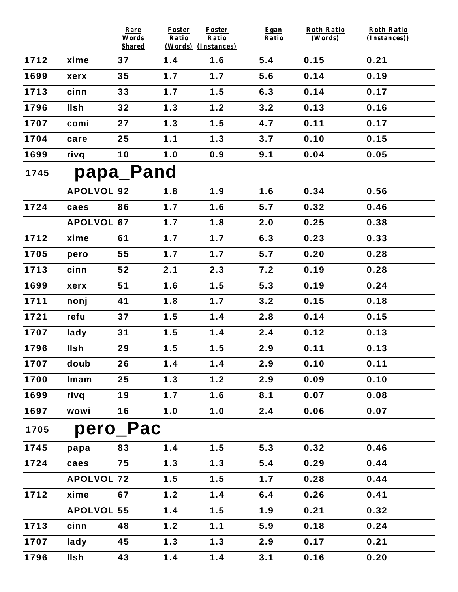|      |                   | Rare<br>Words<br><b>Shared</b> | <b>Foster</b><br>Ratio | <b>Foster</b><br>Ratio<br>(Words) (Instances) | Egan<br>Ratio | <b>Roth Ratio</b><br>(Words) | <b>Roth Ratio</b><br>(Instances)) |
|------|-------------------|--------------------------------|------------------------|-----------------------------------------------|---------------|------------------------------|-----------------------------------|
| 1712 | xime              | 37                             | 1.4                    | 1.6                                           | 5.4           | 0.15                         | 0.21                              |
| 1699 | xerx              | 35                             | 1.7                    | 1.7                                           | 5.6           | 0.14                         | 0.19                              |
| 1713 | cinn              | 33                             | 1.7                    | 1.5                                           | 6.3           | 0.14                         | 0.17                              |
| 1796 | <b>Ilsh</b>       | 32                             | 1.3                    | 1.2                                           | 3.2           | 0.13                         | 0.16                              |
| 1707 | comi              | 27                             | 1.3                    | 1.5                                           | 4.7           | 0.11                         | 0.17                              |
| 1704 | care              | 25                             | 1.1                    | 1.3                                           | 3.7           | 0.10                         | 0.15                              |
| 1699 | rivq              | 10                             | 1.0                    | 0.9                                           | 9.1           | 0.04                         | 0.05                              |
| 1745 |                   | papa_Pand                      |                        |                                               |               |                              |                                   |
|      | <b>APOLVOL 92</b> |                                | 1.8                    | 1.9                                           | 1.6           | 0.34                         | 0.56                              |
| 1724 | caes              | 86                             | 1.7                    | 1.6                                           | 5.7           | 0.32                         | 0.46                              |
|      | <b>APOLVOL 67</b> |                                | 1.7                    | 1.8                                           | 2.0           | 0.25                         | 0.38                              |
| 1712 | xime              | 61                             | 1.7                    | 1.7                                           | 6.3           | 0.23                         | 0.33                              |
| 1705 | pero              | 55                             | 1.7                    | 1.7                                           | 5.7           | 0.20                         | 0.28                              |
| 1713 | cinn              | 52                             | 2.1                    | 2.3                                           | 7.2           | 0.19                         | 0.28                              |
| 1699 | xerx              | 51                             | 1.6                    | 1.5                                           | 5.3           | 0.19                         | 0.24                              |
| 1711 | nonj              | 41                             | 1.8                    | 1.7                                           | 3.2           | 0.15                         | 0.18                              |
| 1721 | refu              | 37                             | 1.5                    | 1.4                                           | 2.8           | 0.14                         | 0.15                              |
| 1707 | lady              | 31                             | 1.5                    | 1.4                                           | 2.4           | 0.12                         | 0.13                              |
| 1796 | <b>Ilsh</b>       | 29                             | 1.5                    | 1.5                                           | 2.9           | 0.11                         | 0.13                              |
| 1707 | doub              | 26                             | 1.4                    | 1.4                                           | 2.9           | 0.10                         | 0.11                              |
| 1700 | Imam              | 25                             | 1.3                    | 1.2                                           | 2.9           | 0.09                         | 0.10                              |
| 1699 | rivq              | 19                             | 1.7                    | 1.6                                           | 8.1           | 0.07                         | 0.08                              |
| 1697 | wowi              | 16                             | 1.0                    | 1.0                                           | 2.4           | 0.06                         | 0.07                              |
| 1705 |                   | pero_Pac                       |                        |                                               |               |                              |                                   |
| 1745 | papa              | 83                             | 1.4                    | 1.5                                           | 5.3           | 0.32                         | 0.46                              |
| 1724 | caes              | 75                             | 1.3                    | 1.3                                           | 5.4           | 0.29                         | 0.44                              |
|      | <b>APOLVOL 72</b> |                                | 1.5                    | 1.5                                           | 1.7           | 0.28                         | 0.44                              |
| 1712 | xime              | 67                             | 1.2                    | 1.4                                           | 6.4           | 0.26                         | 0.41                              |
|      | <b>APOLVOL 55</b> |                                | 1.4                    | 1.5                                           | 1.9           | 0.21                         | 0.32                              |
| 1713 | cinn              | 48                             | 1.2                    | 1.1                                           | 5.9           | 0.18                         | 0.24                              |
| 1707 | lady              | 45                             | 1.3                    | 1.3                                           | 2.9           | 0.17                         | 0.21                              |
| 1796 | llsh              | 43                             | 1.4                    | 1.4                                           | 3.1           | 0.16                         | 0.20                              |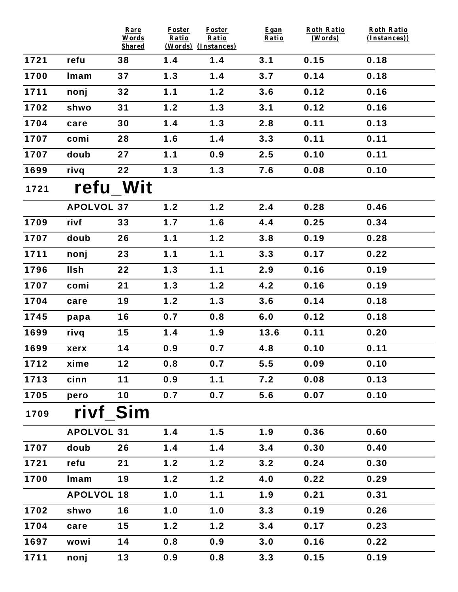|      |                   | Rare<br>Words | <b>Foster</b><br>Ratio | Foster<br>Ratio     | Egan<br>Ratio | <b>Roth Ratio</b><br>(Words) | <b>Roth Ratio</b><br>(Instances)) |
|------|-------------------|---------------|------------------------|---------------------|---------------|------------------------------|-----------------------------------|
| 1721 |                   | <b>Shared</b> |                        | (Words) (Instances) |               |                              |                                   |
|      | refu              | 38            | 1.4                    | 1.4                 | 3.1           | 0.15                         | 0.18                              |
| 1700 | Imam              | 37            | 1.3                    | 1.4                 | 3.7           | 0.14                         | 0.18                              |
| 1711 | nonj              | 32            | 1.1                    | 1.2                 | 3.6           | 0.12                         | 0.16                              |
| 1702 | shwo              | 31            | 1.2                    | 1.3                 | 3.1           | 0.12                         | 0.16                              |
| 1704 | care              | 30            | 1.4                    | 1.3                 | 2.8           | 0.11                         | 0.13                              |
| 1707 | comi              | 28            | 1.6                    | 1.4                 | 3.3           | 0.11                         | 0.11                              |
| 1707 | doub              | 27            | 1.1                    | 0.9                 | 2.5           | 0.10                         | 0.11                              |
| 1699 | rivq              | 22            | $1.3$                  | 1.3                 | 7.6           | 0.08                         | 0.10                              |
| 1721 |                   | refu Wit      |                        |                     |               |                              |                                   |
|      | <b>APOLVOL 37</b> |               | 1.2                    | 1.2                 | 2.4           | 0.28                         | 0.46                              |
| 1709 | rivf              | 33            | $1.7$                  | 1.6                 | 4.4           | 0.25                         | 0.34                              |
| 1707 | doub              | 26            | 1.1                    | 1.2                 | 3.8           | 0.19                         | 0.28                              |
| 1711 | nonj              | 23            | 1.1                    | 1.1                 | 3.3           | 0.17                         | 0.22                              |
| 1796 | <b>Ilsh</b>       | 22            | 1.3                    | 1.1                 | 2.9           | 0.16                         | 0.19                              |
| 1707 | comi              | 21            | 1.3                    | 1.2                 | 4.2           | 0.16                         | 0.19                              |
| 1704 | care              | 19            | 1.2                    | 1.3                 | 3.6           | 0.14                         | 0.18                              |
| 1745 | papa              | 16            | 0.7                    | 0.8                 | 6.0           | 0.12                         | 0.18                              |
| 1699 | rivq              | 15            | 1.4                    | 1.9                 | 13.6          | 0.11                         | 0.20                              |
| 1699 | xerx              | 14            | 0.9                    | 0.7                 | 4.8           | 0.10                         | 0.11                              |
| 1712 | xime              | 12            | 0.8                    | 0.7                 | 5.5           | 0.09                         | 0.10                              |
| 1713 | cinn              | $11$          | 0.9                    | 1.1                 | 7.2           | 0.08                         | 0.13                              |
| 1705 | pero              | 10            | 0.7                    | 0.7                 | 5.6           | 0.07                         | 0.10                              |
| 1709 | rivf Sim          |               |                        |                     |               |                              |                                   |
|      | <b>APOLVOL 31</b> |               | 1.4                    | 1.5                 | 1.9           | 0.36                         | 0.60                              |
| 1707 | doub              | 26            | 1.4                    | 1.4                 | 3.4           | 0.30                         | 0.40                              |
| 1721 | refu              | 21            | 1.2                    | 1.2                 | 3.2           | 0.24                         | 0.30                              |
| 1700 | Imam              | 19            | $1.2$                  | 1.2                 | 4.0           | 0.22                         | 0.29                              |
|      | <b>APOLVOL 18</b> |               | 1.0                    | 1.1                 | 1.9           | 0.21                         | 0.31                              |
| 1702 | shwo              | 16            | 1.0                    | 1.0                 | 3.3           | 0.19                         | 0.26                              |
| 1704 | care              | 15            | $1.2$                  | 1.2                 | 3.4           | 0.17                         | 0.23                              |
| 1697 | wowi              | 14            | 0.8                    | 0.9                 | 3.0           | 0.16                         | 0.22                              |
| 1711 | nonj              | 13            | 0.9                    | 0.8                 | 3.3           | 0.15                         | 0.19                              |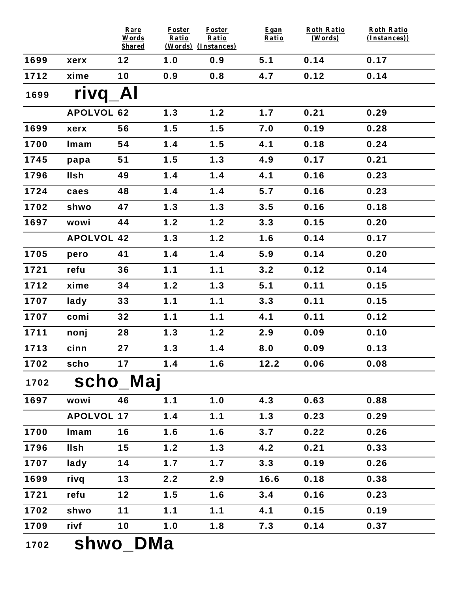|      |                   | Rare<br>Words<br><b>Shared</b> | <b>Foster</b><br>Ratio<br>(Words) (Instances) | <b>Foster</b><br>Ratio | Egan<br>Ratio | <b>Roth Ratio</b><br>(Words) | <b>Roth Ratio</b><br>(Instances)) |  |  |  |
|------|-------------------|--------------------------------|-----------------------------------------------|------------------------|---------------|------------------------------|-----------------------------------|--|--|--|
| 1699 | xerx              | 12                             | 1.0                                           | 0.9                    | 5.1           | 0.14                         | 0.17                              |  |  |  |
| 1712 | xime              | 10                             | 0.9                                           | 0.8                    | 4.7           | 0.12                         | 0.14                              |  |  |  |
| 1699 | <b>rivq</b>       | Al                             |                                               |                        |               |                              |                                   |  |  |  |
|      | <b>APOLVOL 62</b> |                                | 1.3                                           | 1.2                    | 1.7           | 0.21                         | 0.29                              |  |  |  |
| 1699 | xerx              | 56                             | 1.5                                           | 1.5                    | 7.0           | 0.19                         | 0.28                              |  |  |  |
| 1700 | Imam              | 54                             | 1.4                                           | 1.5                    | 4.1           | 0.18                         | 0.24                              |  |  |  |
| 1745 | papa              | 51                             | 1.5                                           | $1.3$                  | 4.9           | 0.17                         | 0.21                              |  |  |  |
| 1796 | <b>Ilsh</b>       | 49                             | 1.4                                           | 1.4                    | 4.1           | 0.16                         | 0.23                              |  |  |  |
| 1724 | caes              | 48                             | 1.4                                           | 1.4                    | 5.7           | 0.16                         | 0.23                              |  |  |  |
| 1702 | shwo              | 47                             | 1.3                                           | 1.3                    | 3.5           | 0.16                         | 0.18                              |  |  |  |
| 1697 | wowi              | 44                             | 1.2                                           | 1.2                    | 3.3           | 0.15                         | 0.20                              |  |  |  |
|      | <b>APOLVOL 42</b> |                                | 1.3                                           | $1.2$                  | 1.6           | 0.14                         | 0.17                              |  |  |  |
| 1705 | pero              | 41                             | 1.4                                           | 1.4                    | 5.9           | 0.14                         | 0.20                              |  |  |  |
| 1721 | refu              | 36                             | 1.1                                           | 1.1                    | 3.2           | 0.12                         | 0.14                              |  |  |  |
| 1712 | xime              | 34                             | 1.2                                           | $1.3$                  | 5.1           | 0.11                         | 0.15                              |  |  |  |
| 1707 | lady              | 33                             | 1.1                                           | 1.1                    | 3.3           | 0.11                         | 0.15                              |  |  |  |
| 1707 | comi              | 32                             | 1.1                                           | 1.1                    | 4.1           | 0.11                         | 0.12                              |  |  |  |
| 1711 | nonj              | 28                             | 1.3                                           | 1.2                    | 2.9           | 0.09                         | 0.10                              |  |  |  |
| 1713 | cinn              | 27                             | 1.3                                           | 1.4                    | 8.0           | 0.09                         | 0.13                              |  |  |  |
| 1702 | scho              | 17                             | 1.4                                           | 1.6                    | 12.2          | 0.06                         | 0.08                              |  |  |  |
| 1702 |                   | scho_Maj                       |                                               |                        |               |                              |                                   |  |  |  |
| 1697 | wowi              | 46                             | 1.1                                           | 1.0                    | 4.3           | 0.63                         | 0.88                              |  |  |  |
|      | <b>APOLVOL 17</b> |                                | 1.4                                           | 1.1                    | 1.3           | 0.23                         | 0.29                              |  |  |  |
| 1700 | Imam              | 16                             | 1.6                                           | 1.6                    | 3.7           | 0.22                         | 0.26                              |  |  |  |
| 1796 | <b>IIsh</b>       | 15                             | 1.2                                           | 1.3                    | 4.2           | 0.21                         | 0.33                              |  |  |  |
| 1707 | lady              | 14                             | 1.7                                           | 1.7                    | 3.3           | 0.19                         | 0.26                              |  |  |  |
| 1699 | rivq              | 13                             | 2.2                                           | 2.9                    | 16.6          | 0.18                         | 0.38                              |  |  |  |
| 1721 | refu              | 12                             | 1.5                                           | 1.6                    | 3.4           | 0.16                         | 0.23                              |  |  |  |
| 1702 | shwo              | $11$                           | 1.1                                           | 1.1                    | 4.1           | 0.15                         | 0.19                              |  |  |  |
| 1709 | rivf              | 10                             | 1.0                                           | 1.8                    | 7.3           | 0.14                         | 0.37                              |  |  |  |
|      | R R A             |                                |                                               |                        |               |                              |                                   |  |  |  |

1702 Shwo\_DMa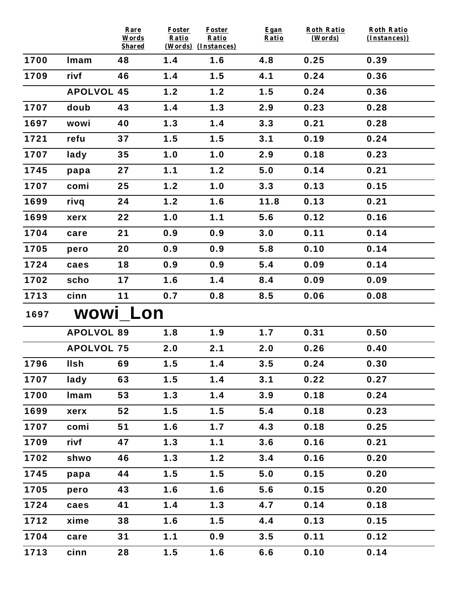|      |                   | Rare<br>Words<br><b>Shared</b> | Foster<br>Ratio | <b>Foster</b><br>Ratio<br>(Words) (Instances) | Egan<br>Ratio | <b>Roth Ratio</b><br>(Words) | Roth Ratio<br>(Instances)) |
|------|-------------------|--------------------------------|-----------------|-----------------------------------------------|---------------|------------------------------|----------------------------|
| 1700 | Imam              | 48                             | 1.4             | 1.6                                           | 4.8           | 0.25                         | 0.39                       |
| 1709 | rivf              | 46                             | 1.4             | 1.5                                           | 4.1           | 0.24                         | 0.36                       |
|      | <b>APOLVOL 45</b> |                                | 1.2             | 1.2                                           | 1.5           | 0.24                         | 0.36                       |
| 1707 | doub              | 43                             | 1.4             | 1.3                                           | 2.9           | 0.23                         | 0.28                       |
| 1697 | wowi              | 40                             | 1.3             | 1.4                                           | 3.3           | 0.21                         | 0.28                       |
| 1721 | refu              | 37                             | 1.5             | 1.5                                           | 3.1           | 0.19                         | 0.24                       |
| 1707 | lady              | 35                             | 1.0             | 1.0                                           | 2.9           | 0.18                         | 0.23                       |
| 1745 | papa              | 27                             | 1.1             | 1.2                                           | 5.0           | 0.14                         | 0.21                       |
| 1707 | comi              | 25                             | 1.2             | 1.0                                           | 3.3           | 0.13                         | 0.15                       |
| 1699 | rivq              | 24                             | 1.2             | 1.6                                           | 11.8          | 0.13                         | 0.21                       |
| 1699 | xerx              | 22                             | 1.0             | 1.1                                           | 5.6           | 0.12                         | 0.16                       |
| 1704 | care              | 21                             | 0.9             | 0.9                                           | 3.0           | 0.11                         | 0.14                       |
| 1705 | pero              | 20                             | 0.9             | 0.9                                           | 5.8           | 0.10                         | 0.14                       |
| 1724 | caes              | 18                             | 0.9             | 0.9                                           | 5.4           | 0.09                         | 0.14                       |
| 1702 | scho              | 17                             | 1.6             | 1.4                                           | 8.4           | 0.09                         | 0.09                       |
| 1713 | cinn              | 11                             | 0.7             | 0.8                                           | 8.5           | 0.06                         | 0.08                       |
| 1697 | <b>WOWI LON</b>   |                                |                 |                                               |               |                              |                            |
|      | <b>APOLVOL 89</b> |                                | 1.8             | 1.9                                           | 1.7           | 0.31                         | 0.50                       |
|      | <b>APOLVOL 75</b> |                                | 2.0             | 2.1                                           | 2.0           | 0.26                         | 0.40                       |
| 1796 | llsh              | 69                             | 1.5             | 1.4                                           | 3.5           | 0.24                         | 0.30                       |
| 1707 | lady              | 63                             | 1.5             | 1.4                                           | 3.1           | 0.22                         | 0.27                       |
| 1700 | Imam              | 53                             | 1.3             | 1.4                                           | 3.9           | 0.18                         | 0.24                       |
| 1699 | xerx              | 52                             | 1.5             | 1.5                                           | 5.4           | 0.18                         | 0.23                       |
| 1707 | comi              | 51                             | 1.6             | 1.7                                           | 4.3           | 0.18                         | 0.25                       |
| 1709 | rivf              | 47                             | 1.3             | 1.1                                           | 3.6           | 0.16                         | 0.21                       |
| 1702 | shwo              | 46                             | 1.3             | 1.2                                           | 3.4           | 0.16                         | 0.20                       |
| 1745 | papa              | 44                             | 1.5             | 1.5                                           | 5.0           | 0.15                         | 0.20                       |
| 1705 | pero              | 43                             | 1.6             | 1.6                                           | 5.6           | 0.15                         | 0.20                       |
| 1724 | caes              | 41                             | 1.4             | 1.3                                           | 4.7           | 0.14                         | 0.18                       |
| 1712 | xime              | 38                             | 1.6             | 1.5                                           | 4.4           | 0.13                         | 0.15                       |
| 1704 | care              | 31                             | 1.1             | 0.9                                           | 3.5           | 0.11                         | 0.12                       |
| 1713 | cinn              | 28                             | 1.5             | 1.6                                           | 6.6           | 0.10                         | 0.14                       |